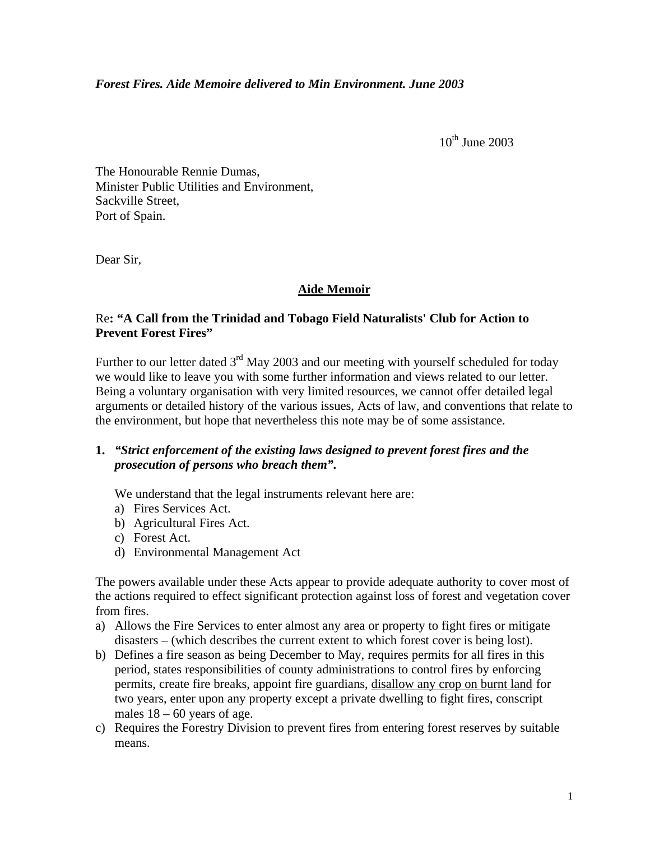$10^{th}$  June 2003

The Honourable Rennie Dumas, Minister Public Utilities and Environment, Sackville Street, Port of Spain.

Dear Sir,

## **Aide Memoir**

## Re**: "A Call from the Trinidad and Tobago Field Naturalists' Club for Action to Prevent Forest Fires"**

Further to our letter dated  $3<sup>rd</sup>$  May 2003 and our meeting with yourself scheduled for today we would like to leave you with some further information and views related to our letter. Being a voluntary organisation with very limited resources, we cannot offer detailed legal arguments or detailed history of the various issues, Acts of law, and conventions that relate to the environment, but hope that nevertheless this note may be of some assistance.

## **1.** *"Strict enforcement of the existing laws designed to prevent forest fires and the prosecution of persons who breach them".*

We understand that the legal instruments relevant here are:

- a) Fires Services Act.
- b) Agricultural Fires Act.
- c) Forest Act.
- d) Environmental Management Act

The powers available under these Acts appear to provide adequate authority to cover most of the actions required to effect significant protection against loss of forest and vegetation cover from fires.

- a) Allows the Fire Services to enter almost any area or property to fight fires or mitigate disasters – (which describes the current extent to which forest cover is being lost).
- b) Defines a fire season as being December to May, requires permits for all fires in this period, states responsibilities of county administrations to control fires by enforcing permits, create fire breaks, appoint fire guardians, disallow any crop on burnt land for two years, enter upon any property except a private dwelling to fight fires, conscript males  $18 - 60$  years of age.
- c) Requires the Forestry Division to prevent fires from entering forest reserves by suitable means.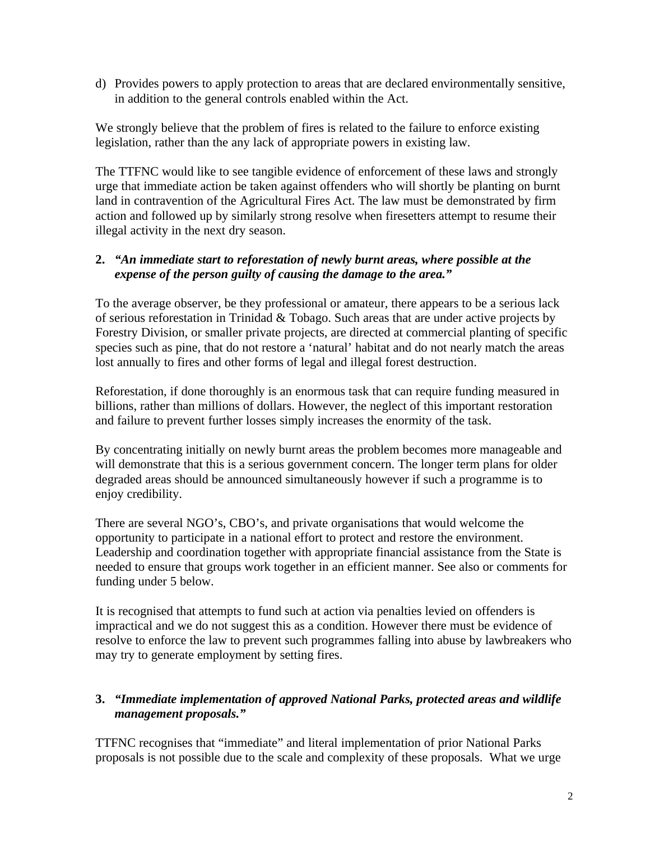d) Provides powers to apply protection to areas that are declared environmentally sensitive, in addition to the general controls enabled within the Act.

We strongly believe that the problem of fires is related to the failure to enforce existing legislation, rather than the any lack of appropriate powers in existing law.

The TTFNC would like to see tangible evidence of enforcement of these laws and strongly urge that immediate action be taken against offenders who will shortly be planting on burnt land in contravention of the Agricultural Fires Act. The law must be demonstrated by firm action and followed up by similarly strong resolve when firesetters attempt to resume their illegal activity in the next dry season.

## **2.** *"An immediate start to reforestation of newly burnt areas, where possible at the expense of the person guilty of causing the damage to the area."*

To the average observer, be they professional or amateur, there appears to be a serious lack of serious reforestation in Trinidad & Tobago. Such areas that are under active projects by Forestry Division, or smaller private projects, are directed at commercial planting of specific species such as pine, that do not restore a 'natural' habitat and do not nearly match the areas lost annually to fires and other forms of legal and illegal forest destruction.

Reforestation, if done thoroughly is an enormous task that can require funding measured in billions, rather than millions of dollars. However, the neglect of this important restoration and failure to prevent further losses simply increases the enormity of the task.

By concentrating initially on newly burnt areas the problem becomes more manageable and will demonstrate that this is a serious government concern. The longer term plans for older degraded areas should be announced simultaneously however if such a programme is to enjoy credibility.

There are several NGO's, CBO's, and private organisations that would welcome the opportunity to participate in a national effort to protect and restore the environment. Leadership and coordination together with appropriate financial assistance from the State is needed to ensure that groups work together in an efficient manner. See also or comments for funding under 5 below.

It is recognised that attempts to fund such at action via penalties levied on offenders is impractical and we do not suggest this as a condition. However there must be evidence of resolve to enforce the law to prevent such programmes falling into abuse by lawbreakers who may try to generate employment by setting fires.

# **3.** *"Immediate implementation of approved National Parks, protected areas and wildlife management proposals."*

TTFNC recognises that "immediate" and literal implementation of prior National Parks proposals is not possible due to the scale and complexity of these proposals. What we urge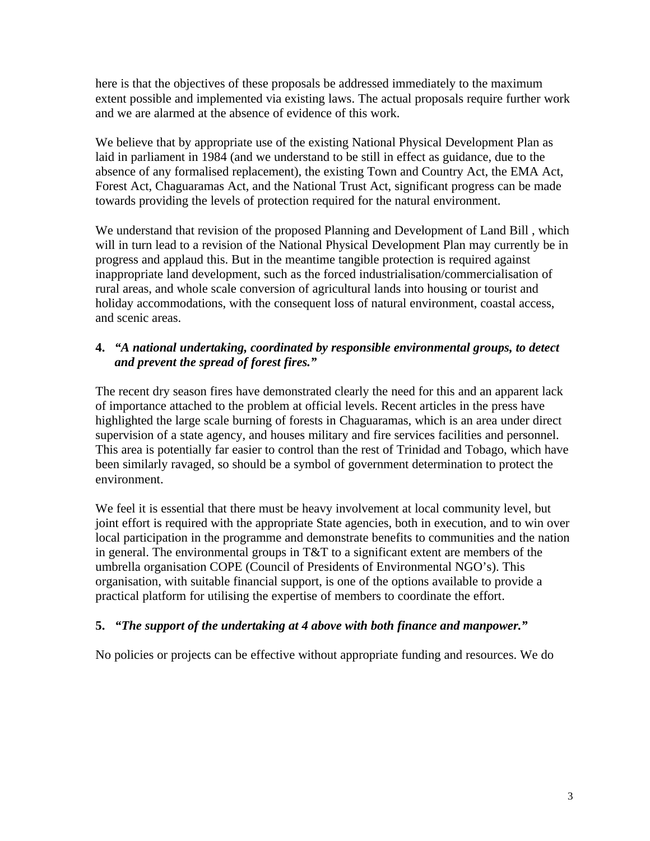here is that the objectives of these proposals be addressed immediately to the maximum extent possible and implemented via existing laws. The actual proposals require further work and we are alarmed at the absence of evidence of this work.

We believe that by appropriate use of the existing National Physical Development Plan as laid in parliament in 1984 (and we understand to be still in effect as guidance, due to the absence of any formalised replacement), the existing Town and Country Act, the EMA Act, Forest Act, Chaguaramas Act, and the National Trust Act, significant progress can be made towards providing the levels of protection required for the natural environment.

We understand that revision of the proposed Planning and Development of Land Bill , which will in turn lead to a revision of the National Physical Development Plan may currently be in progress and applaud this. But in the meantime tangible protection is required against inappropriate land development, such as the forced industrialisation/commercialisation of rural areas, and whole scale conversion of agricultural lands into housing or tourist and holiday accommodations, with the consequent loss of natural environment, coastal access, and scenic areas.

# **4.** *"A national undertaking, coordinated by responsible environmental groups, to detect and prevent the spread of forest fires."*

The recent dry season fires have demonstrated clearly the need for this and an apparent lack of importance attached to the problem at official levels. Recent articles in the press have highlighted the large scale burning of forests in Chaguaramas, which is an area under direct supervision of a state agency, and houses military and fire services facilities and personnel. This area is potentially far easier to control than the rest of Trinidad and Tobago, which have been similarly ravaged, so should be a symbol of government determination to protect the environment.

We feel it is essential that there must be heavy involvement at local community level, but joint effort is required with the appropriate State agencies, both in execution, and to win over local participation in the programme and demonstrate benefits to communities and the nation in general. The environmental groups in T&T to a significant extent are members of the umbrella organisation COPE (Council of Presidents of Environmental NGO's). This organisation, with suitable financial support, is one of the options available to provide a practical platform for utilising the expertise of members to coordinate the effort.

## **5.** *"The support of the undertaking at 4 above with both finance and manpower."*

No policies or projects can be effective without appropriate funding and resources. We do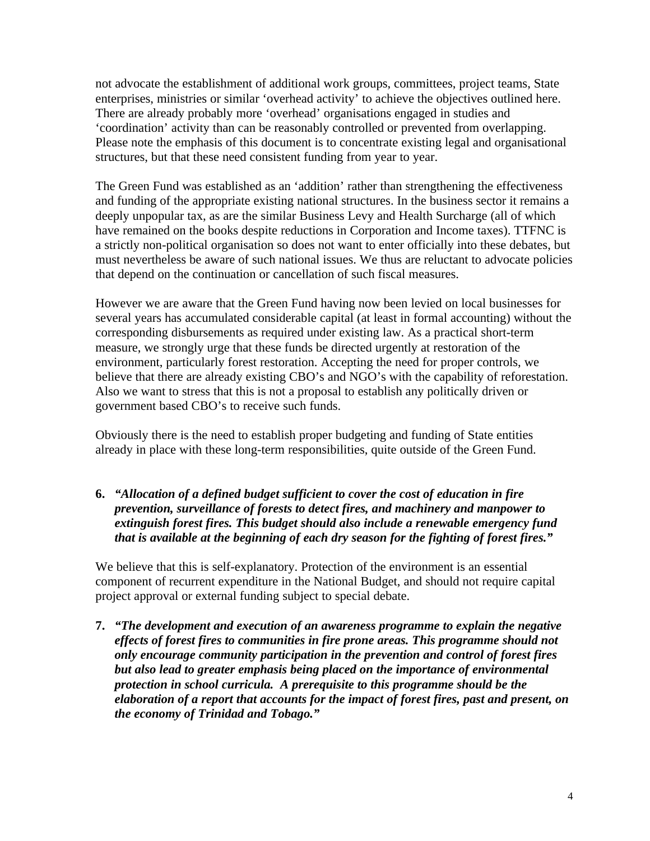not advocate the establishment of additional work groups, committees, project teams, State enterprises, ministries or similar 'overhead activity' to achieve the objectives outlined here. There are already probably more 'overhead' organisations engaged in studies and 'coordination' activity than can be reasonably controlled or prevented from overlapping. Please note the emphasis of this document is to concentrate existing legal and organisational structures, but that these need consistent funding from year to year.

The Green Fund was established as an 'addition' rather than strengthening the effectiveness and funding of the appropriate existing national structures. In the business sector it remains a deeply unpopular tax, as are the similar Business Levy and Health Surcharge (all of which have remained on the books despite reductions in Corporation and Income taxes). TTFNC is a strictly non-political organisation so does not want to enter officially into these debates, but must nevertheless be aware of such national issues. We thus are reluctant to advocate policies that depend on the continuation or cancellation of such fiscal measures.

However we are aware that the Green Fund having now been levied on local businesses for several years has accumulated considerable capital (at least in formal accounting) without the corresponding disbursements as required under existing law. As a practical short-term measure, we strongly urge that these funds be directed urgently at restoration of the environment, particularly forest restoration. Accepting the need for proper controls, we believe that there are already existing CBO's and NGO's with the capability of reforestation. Also we want to stress that this is not a proposal to establish any politically driven or government based CBO's to receive such funds.

Obviously there is the need to establish proper budgeting and funding of State entities already in place with these long-term responsibilities, quite outside of the Green Fund.

**6.** *"Allocation of a defined budget sufficient to cover the cost of education in fire prevention, surveillance of forests to detect fires, and machinery and manpower to extinguish forest fires. This budget should also include a renewable emergency fund that is available at the beginning of each dry season for the fighting of forest fires."*

We believe that this is self-explanatory. Protection of the environment is an essential component of recurrent expenditure in the National Budget, and should not require capital project approval or external funding subject to special debate.

**7.** *"The development and execution of an awareness programme to explain the negative effects of forest fires to communities in fire prone areas. This programme should not only encourage community participation in the prevention and control of forest fires but also lead to greater emphasis being placed on the importance of environmental protection in school curricula. A prerequisite to this programme should be the elaboration of a report that accounts for the impact of forest fires, past and present, on the economy of Trinidad and Tobago."*